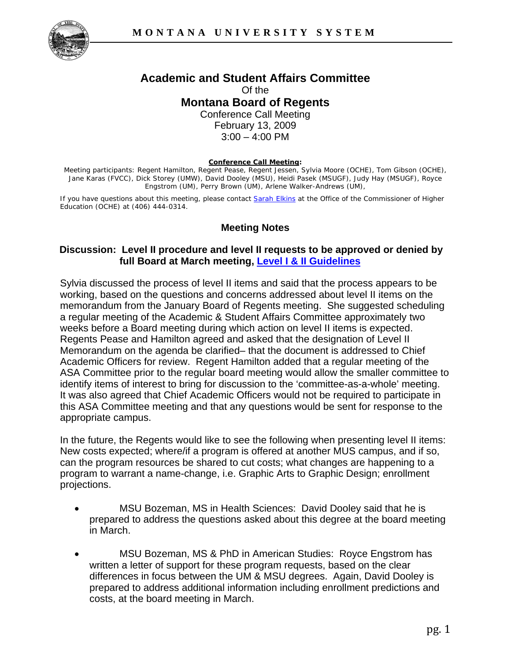

## **Academic and Student Affairs Committee**  Of the **Montana Board of Regents**  Conference Call Meeting February 13, 2009

 $3:00 - 4:00$  PM

#### **Conference Call Meeting:**

Meeting participants: Regent Hamilton, Regent Pease, Regent Jessen, Sylvia Moore (OCHE), Tom Gibson (OCHE), Jane Karas (FVCC), Dick Storey (UMW), David Dooley (MSU), Heidi Pasek (MSUGF), Judy Hay (MSUGF), Royce Engstrom (UM), Perry Brown (UM), Arlene Walker-Andrews (UM),

If you have questions about this meeting, please contact Sarah [E](mailto:selkins@montana.edu)lkins at the Office of the Commissioner of Higher Education (OCHE) at (406) 444-0314.

# **Meeting Notes**

### **Discussion: Level II procedure and level II requests to be approved or denied by full Board at March meeting, Level I & II Guidelines**

Sylvia discussed the process of level II items and said that the process appears to be working, based on the questions and concerns addressed about level II items on the memorandum from the January Board of Regents meeting. She suggested scheduling a regular meeting of the Academic & Student Affairs Committee approximately two weeks before a Board meeting during which action on level II items is expected. Regents Pease and Hamilton agreed and asked that the designation of Level II Memorandum on the agenda be clarified– that the document is addressed to Chief Academic Officers for review. Regent Hamilton added that a regular meeting of the ASA Committee prior to the regular board meeting would allow the smaller committee to identify items of interest to bring for discussion to the 'committee-as-a-whole' meeting. It was also agreed that Chief Academic Officers would not be required to participate in this ASA Committee meeting and that any questions would be sent for response to the appropriate campus.

In the future, the Regents would like to see the following when presenting level II items: New costs expected; where/if a program is offered at another MUS campus, and if so, can the program resources be shared to cut costs; what changes are happening to a program to warrant a name-change, i.e. Graphic Arts to Graphic Design; enrollment projections.

- MSU Bozeman, MS in Health Sciences: David Dooley said that he is prepared to address the questions asked about this degree at the board meeting in March.
- MSU Bozeman, MS & PhD in American Studies: Royce Engstrom has written a letter of support for these program requests, based on the clear differences in focus between the UM & MSU degrees. Again, David Dooley is prepared to address additional information including enrollment predictions and costs, at the board meeting in March.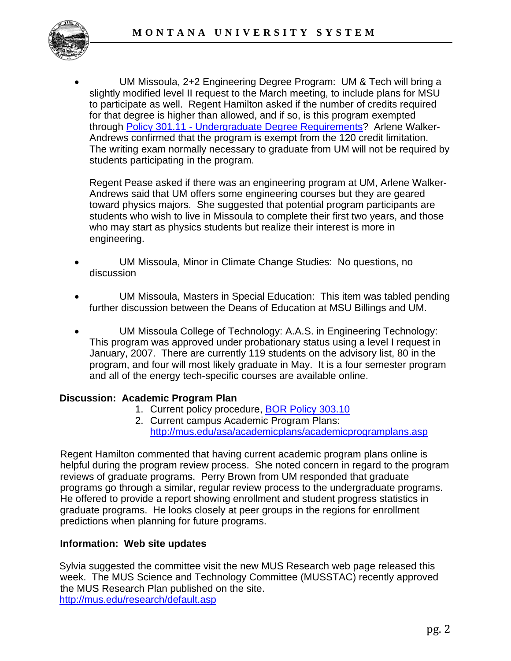

• UM Missoula, 2+2 Engineering Degree Program: UM & Tech will bring a slightly modified level II request to the March meeting, to include plans for MSU to participate as well. Regent Hamilton asked if the number of credits required for that degree is higher than allowed, and if so, is this program exempted through [Policy 301.11 - Undergraduate Degree Requirements?](http://mus.edu/borpol/bor300/301-11.pdf) Arlene Walker-Andrews confirmed that the program is exempt from the 120 credit limitation. The writing exam normally necessary to graduate from UM will not be required by students participating in the program.

Regent Pease asked if there was an engineering program at UM, Arlene Walker-Andrews said that UM offers some engineering courses but they are geared toward physics majors. She suggested that potential program participants are students who wish to live in Missoula to complete their first two years, and those who may start as physics students but realize their interest is more in engineering.

- UM Missoula, Minor in Climate Change Studies: No questions, no discussion
- UM Missoula, Masters in Special Education: This item was tabled pending further discussion between the Deans of Education at MSU Billings and UM.
- UM Missoula College of Technology: A.A.S. in Engineering Technology: This program was approved under probationary status using a level I request in January, 2007. There are currently 119 students on the advisory list, 80 in the program, and four will most likely graduate in May. It is a four semester program and all of the energy tech-specific courses are available online.

# **Discussion: Academic Program Plan**

- 1. Current policy procedure, [BOR Policy 303.10](http://mus.edu/borpol/bor300/303-10.pdf)
- 2. Current campus Academic Program Plans: http://mus.edu/asa/academicplans/academicprogramplans.asp

Regent Hamilton commented that having current academic program plans online is helpful during the program review process. She noted concern in regard to the program reviews of graduate programs. Perry Brown from UM responded that graduate programs go through a similar, regular review process to the undergraduate programs. He offered to provide a report showing enrollment and student progress statistics in graduate programs. He looks closely at peer groups in the regions for enrollment predictions when planning for future programs.

# **Information: Web site updates**

Sylvia suggested the committee visit the new MUS Research web page released this week. The MUS Science and Technology Committee (MUSSTAC) recently approved the MUS Research Plan published on the site. <http://mus.edu/research/default.asp>